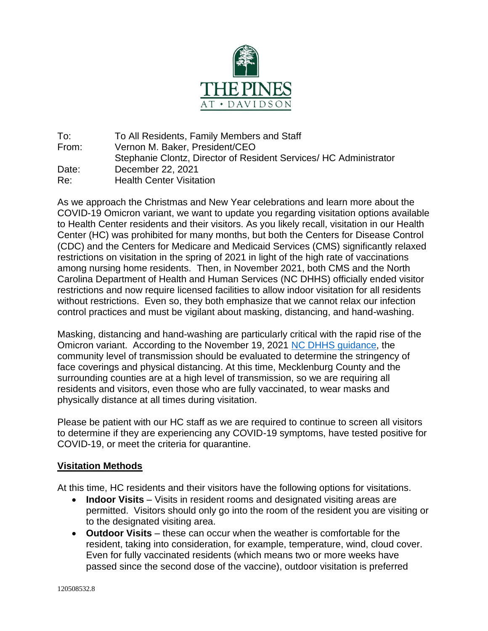

To: To All Residents, Family Members and Staff From: Vernon M. Baker, President/CEO Stephanie Clontz, Director of Resident Services/ HC Administrator Date: December 22, 2021 Re: Health Center Visitation

As we approach the Christmas and New Year celebrations and learn more about the COVID-19 Omicron variant, we want to update you regarding visitation options available to Health Center residents and their visitors. As you likely recall, visitation in our Health Center (HC) was prohibited for many months, but both the Centers for Disease Control (CDC) and the Centers for Medicare and Medicaid Services (CMS) significantly relaxed restrictions on visitation in the spring of 2021 in light of the high rate of vaccinations among nursing home residents. Then, in November 2021, both CMS and the North Carolina Department of Health and Human Services (NC DHHS) officially ended visitor restrictions and now require licensed facilities to allow indoor visitation for all residents without restrictions. Even so, they both emphasize that we cannot relax our infection control practices and must be vigilant about masking, distancing, and hand-washing.

Masking, distancing and hand-washing are particularly critical with the rapid rise of the Omicron variant. According to the November 19, 2021 [NC DHHS guidance,](https://covid19.ncdhhs.gov/media/2334/download?attachment) the community level of transmission should be evaluated to determine the stringency of face coverings and physical distancing. At this time, Mecklenburg County and the surrounding counties are at a high level of transmission, so we are requiring all residents and visitors, even those who are fully vaccinated, to wear masks and physically distance at all times during visitation.

Please be patient with our HC staff as we are required to continue to screen all visitors to determine if they are experiencing any COVID-19 symptoms, have tested positive for COVID-19, or meet the criteria for quarantine.

## **Visitation Methods**

At this time, HC residents and their visitors have the following options for visitations.

- **Indoor Visits** Visits in resident rooms and designated visiting areas are permitted. Visitors should only go into the room of the resident you are visiting or to the designated visiting area.
- **Outdoor Visits** these can occur when the weather is comfortable for the resident, taking into consideration, for example, temperature, wind, cloud cover. Even for fully vaccinated residents (which means two or more weeks have passed since the second dose of the vaccine), outdoor visitation is preferred